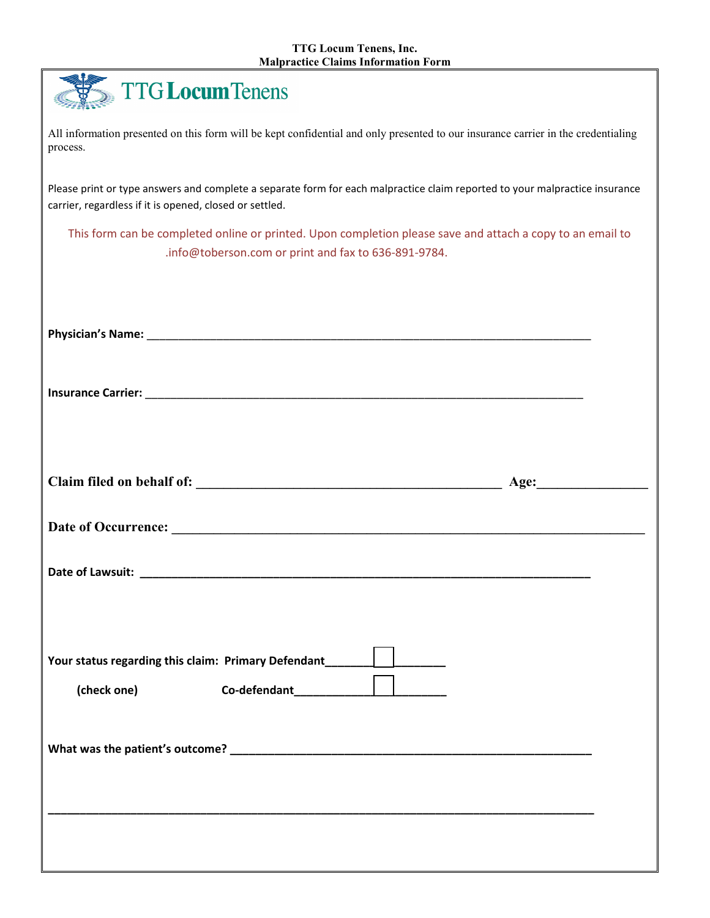|  | <b>TTG Locum Tenens</b> |  |
|--|-------------------------|--|
|--|-------------------------|--|

All information presented on this form will be kept confidential and only presented to our insurance carrier in the credentialing process.

Please print or type answers and complete a separate form for each malpractice claim reported to your malpractice insurance carrier, regardless if it is opened, closed or settled.

This form can be completed online or printed. Upon completion please save and attach a copy to an email to .info@toberson.com or print and fax to 636-891-9784.

| Your status regarding this claim: Primary Defendant_____________________________<br>(check one) $\qquad \qquad \text{Co-defendant} \qquad \qquad \qquad \qquad$                                                                  |  |
|----------------------------------------------------------------------------------------------------------------------------------------------------------------------------------------------------------------------------------|--|
| What was the patient's outcome?<br>Solution of the state of the state of the state of the state of the state of the state of the state of the state of the state of the state of the state of the state of the state of the stat |  |
|                                                                                                                                                                                                                                  |  |